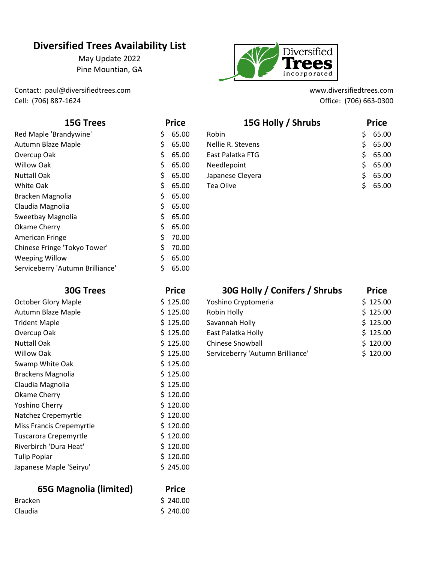# **Diversified Trees Availability List**

May Update 2022 Pine Mountian, GA

Contact: paul@diversifiedtrees.com www.diversifiedtrees.com Cell: (706) 887-1624 Office: (706) 663-0300



| <b>15G Trees</b>                 | <b>Price</b> |       | 15G Holly / Shrubs | <b>Price</b> |       |
|----------------------------------|--------------|-------|--------------------|--------------|-------|
| Red Maple 'Brandywine'           | S.           | 65.00 | Robin              | S.           | 65.00 |
| Autumn Blaze Maple               | S.           | 65.00 | Nellie R. Stevens  | S.           | 65.00 |
| Overcup Oak                      | S.           | 65.00 | East Palatka FTG   | S.           | 65.00 |
| Willow Oak                       | \$.          | 65.00 | Needlepoint        | S.           | 65.00 |
| <b>Nuttall Oak</b>               | S.           | 65.00 | Japanese Cleyera   | S.           | 65.00 |
| White Oak                        | S.           | 65.00 | Tea Olive          | S.           | 65.00 |
| Bracken Magnolia                 |              | 65.00 |                    |              |       |
| Claudia Magnolia                 |              | 65.00 |                    |              |       |
| Sweetbay Magnolia                |              | 65.00 |                    |              |       |
| Okame Cherry                     |              | 65.00 |                    |              |       |
| American Fringe                  | S.           | 70.00 |                    |              |       |
| Chinese Fringe 'Tokyo Tower'     |              | 70.00 |                    |              |       |
| <b>Weeping Willow</b>            |              | 65.00 |                    |              |       |
| Serviceberry 'Autumn Brilliance' |              | 65.00 |                    |              |       |

| <b>30G Trees</b>           | <b>Price</b> | <b>30G HOIIV / CONITERS / SNITUDS</b> | <b>Price</b> |
|----------------------------|--------------|---------------------------------------|--------------|
| <b>October Glory Maple</b> | \$125.00     | Yoshino Cryptomeria                   | \$125.00     |
| Autumn Blaze Maple         | \$125.00     | Robin Holly                           | \$125.00     |
| <b>Trident Maple</b>       | \$125.00     | Savannah Holly                        | \$125.00     |
| Overcup Oak                | \$125.00     | East Palatka Holly                    | \$125.00     |
| <b>Nuttall Oak</b>         | \$125.00     | <b>Chinese Snowball</b>               | \$120.00     |
| <b>Willow Oak</b>          | \$125.00     | Serviceberry 'Autumn Brilliance'      | \$120.00     |
| Swamp White Oak            | \$125.00     |                                       |              |
| Brackens Magnolia          | \$125.00     |                                       |              |
| Claudia Magnolia           | \$125.00     |                                       |              |
| Okame Cherry               | \$120.00     |                                       |              |
| Yoshino Cherry             | \$120.00     |                                       |              |
| Natchez Crepemyrtle        | \$120.00     |                                       |              |
| Miss Francis Crepemyrtle   | \$120.00     |                                       |              |
| Tuscarora Crepemyrtle      | \$120.00     |                                       |              |
| Riverbirch 'Dura Heat'     | \$120.00     |                                       |              |
| <b>Tulip Poplar</b>        | \$120.00     |                                       |              |
| Japanese Maple 'Seiryu'    | \$245.00     |                                       |              |
|                            |              |                                       |              |

## **65G Magnolia (limited) Price**

| <b>Bracken</b> | \$240.00 |
|----------------|----------|
| Claudia        | \$240.00 |

| <b>30G Trees</b>           | <b>Price</b> | 30G Holly / Conifers / Shrubs    | <b>Price</b> |  |
|----------------------------|--------------|----------------------------------|--------------|--|
| <b>October Glory Maple</b> | \$125.00     | Yoshino Cryptomeria              | \$125.00     |  |
| Autumn Blaze Maple         | \$125.00     | Robin Holly                      | \$125.00     |  |
| <b>Trident Maple</b>       | \$125.00     | Savannah Holly                   | \$125.00     |  |
| Overcup Oak                | \$125.00     | East Palatka Holly               | \$125.00     |  |
| <b>Nuttall Oak</b>         | \$125.00     | <b>Chinese Snowball</b>          | \$120.00     |  |
| <b>Willow Oak</b>          | \$125.00     | Serviceberry 'Autumn Brilliance' | \$120.00     |  |